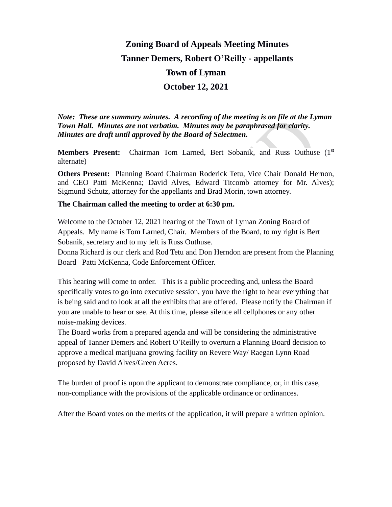# **Zoning Board of Appeals Meeting Minutes Tanner Demers, Robert O'Reilly - appellants Town of Lyman October 12, 2021**

*Note: These are summary minutes. A recording of the meeting is on file at the Lyman Town Hall. Minutes are not verbatim. Minutes may be paraphrased for clarity. Minutes are draft until approved by the Board of Selectmen.*

**Members Present:** Chairman Tom Larned, Bert Sobanik, and Russ Outhuse (1<sup>st</sup>) alternate)

**Others Present:** Planning Board Chairman Roderick Tetu, Vice Chair Donald Hernon, and CEO Patti McKenna; David Alves, Edward Titcomb attorney for Mr. Alves); Sigmund Schutz, attorney for the appellants and Brad Morin, town attorney.

#### **The Chairman called the meeting to order at 6:30 pm.**

Welcome to the October 12, 2021 hearing of the Town of Lyman Zoning Board of Appeals. My name is Tom Larned, Chair. Members of the Board, to my right is Bert Sobanik, secretary and to my left is Russ Outhuse.

Donna Richard is our clerk and Rod Tetu and Don Herndon are present from the Planning Board Patti McKenna, Code Enforcement Officer.

This hearing will come to order. This is a public proceeding and, unless the Board specifically votes to go into executive session, you have the right to hear everything that is being said and to look at all the exhibits that are offered. Please notify the Chairman if you are unable to hear or see. At this time, please silence all cellphones or any other noise-making devices.

The Board works from a prepared agenda and will be considering the administrative appeal of Tanner Demers and Robert O'Reilly to overturn a Planning Board decision to approve a medical marijuana growing facility on Revere Way/ Raegan Lynn Road proposed by David Alves/Green Acres.

The burden of proof is upon the applicant to demonstrate compliance, or, in this case, non-compliance with the provisions of the applicable ordinance or ordinances.

After the Board votes on the merits of the application, it will prepare a written opinion.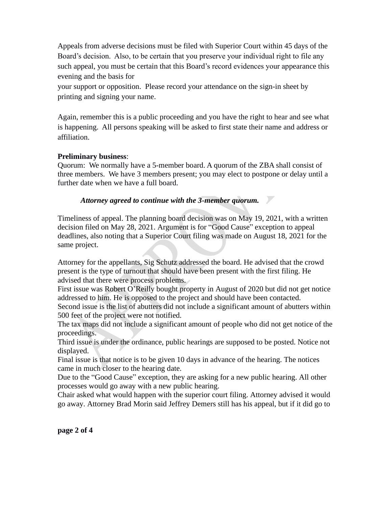Appeals from adverse decisions must be filed with Superior Court within 45 days of the Board's decision. Also, to be certain that you preserve your individual right to file any such appeal, you must be certain that this Board's record evidences your appearance this evening and the basis for

your support or opposition. Please record your attendance on the sign-in sheet by printing and signing your name.

Again, remember this is a public proceeding and you have the right to hear and see what is happening. All persons speaking will be asked to first state their name and address or affiliation.

#### **Preliminary business**:

Quorum: We normally have a 5-member board. A quorum of the ZBA shall consist of three members. We have 3 members present; you may elect to postpone or delay until a further date when we have a full board.

### *Attorney agreed to continue with the 3-member quorum.*

Timeliness of appeal. The planning board decision was on May 19, 2021, with a written decision filed on May 28, 2021. Argument is for "Good Cause" exception to appeal deadlines, also noting that a Superior Court filing was made on August 18, 2021 for the same project.

Attorney for the appellants, Sig Schutz addressed the board. He advised that the crowd present is the type of turnout that should have been present with the first filing. He advised that there were process problems.

First issue was Robert O'Reilly bought property in August of 2020 but did not get notice addressed to him. He is opposed to the project and should have been contacted.

Second issue is the list of abutters did not include a significant amount of abutters within 500 feet of the project were not notified.

The tax maps did not include a significant amount of people who did not get notice of the proceedings.

Third issue is under the ordinance, public hearings are supposed to be posted. Notice not displayed.

Final issue is that notice is to be given 10 days in advance of the hearing. The notices came in much closer to the hearing date.

Due to the "Good Cause" exception, they are asking for a new public hearing. All other processes would go away with a new public hearing.

Chair asked what would happen with the superior court filing. Attorney advised it would go away. Attorney Brad Morin said Jeffrey Demers still has his appeal, but if it did go to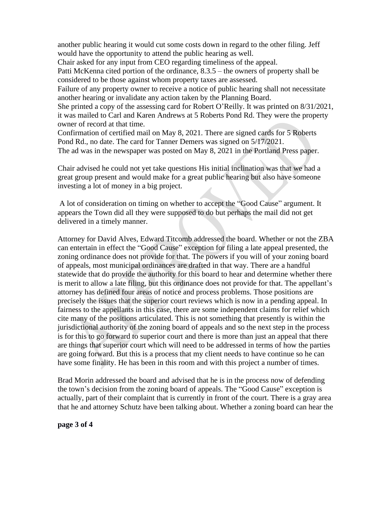another public hearing it would cut some costs down in regard to the other filing. Jeff would have the opportunity to attend the public hearing as well.

Chair asked for any input from CEO regarding timeliness of the appeal. Patti McKenna cited portion of the ordinance, 8.3.5 – the owners of property shall be considered to be those against whom property taxes are assessed.

Failure of any property owner to receive a notice of public hearing shall not necessitate another hearing or invalidate any action taken by the Planning Board.

She printed a copy of the assessing card for Robert O'Reilly. It was printed on 8/31/2021, it was mailed to Carl and Karen Andrews at 5 Roberts Pond Rd. They were the property owner of record at that time.

Confirmation of certified mail on May 8, 2021. There are signed cards for 5 Roberts Pond Rd., no date. The card for Tanner Demers was signed on 5/17/2021.

The ad was in the newspaper was posted on May 8, 2021 in the Portland Press paper.

Chair advised he could not yet take questions His initial inclination was that we had a great group present and would make for a great public hearing but also have someone investing a lot of money in a big project.

A lot of consideration on timing on whether to accept the "Good Cause" argument. It appears the Town did all they were supposed to do but perhaps the mail did not get delivered in a timely manner.

Attorney for David Alves, Edward Titcomb addressed the board. Whether or not the ZBA can entertain in effect the "Good Cause" exception for filing a late appeal presented, the zoning ordinance does not provide for that. The powers if you will of your zoning board of appeals, most municipal ordinances are drafted in that way. There are a handful statewide that do provide the authority for this board to hear and determine whether there is merit to allow a late filing, but this ordinance does not provide for that. The appellant's attorney has defined four areas of notice and process problems. Those positions are precisely the issues that the superior court reviews which is now in a pending appeal. In fairness to the appellants in this case, there are some independent claims for relief which cite many of the positions articulated. This is not something that presently is within the jurisdictional authority of the zoning board of appeals and so the next step in the process is for this to go forward to superior court and there is more than just an appeal that there are things that superior court which will need to be addressed in terms of how the parties are going forward. But this is a process that my client needs to have continue so he can have some finality. He has been in this room and with this project a number of times.

Brad Morin addressed the board and advised that he is in the process now of defending the town's decision from the zoning board of appeals. The "Good Cause" exception is actually, part of their complaint that is currently in front of the court. There is a gray area that he and attorney Schutz have been talking about. Whether a zoning board can hear the

**page 3 of 4**